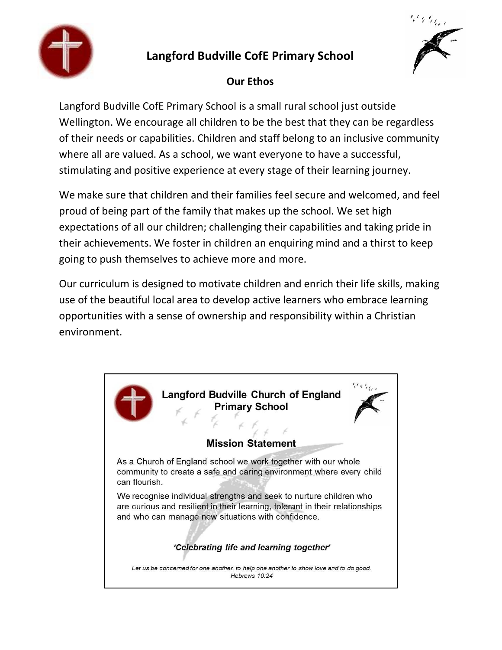

## **Langford Budville CofE Primary School**



### **Our Ethos**

Langford Budville CofE Primary School is a small rural school just outside Wellington. We encourage all children to be the best that they can be regardless of their needs or capabilities. Children and staff belong to an inclusive community where all are valued. As a school, we want everyone to have a successful, stimulating and positive experience at every stage of their learning journey.

We make sure that children and their families feel secure and welcomed, and feel proud of being part of the family that makes up the school. We set high expectations of all our children; challenging their capabilities and taking pride in their achievements. We foster in children an enquiring mind and a thirst to keep going to push themselves to achieve more and more.

Our curriculum is designed to motivate children and enrich their life skills, making use of the beautiful local area to develop active learners who embrace learning opportunities with a sense of ownership and responsibility within a Christian environment.

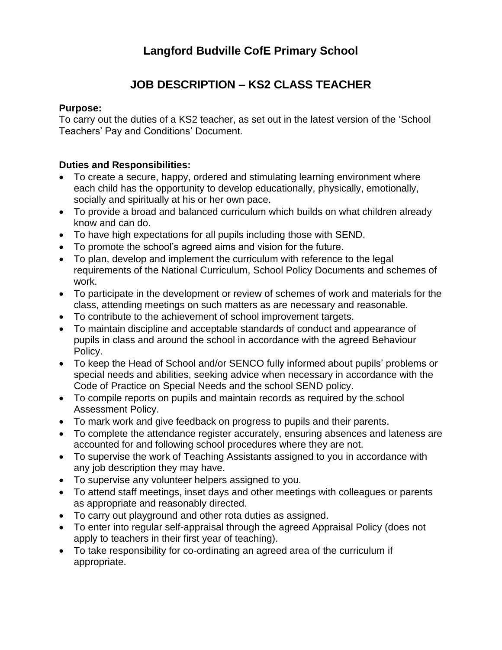# **Langford Budville CofE Primary School**

# **JOB DESCRIPTION – KS2 CLASS TEACHER**

#### **Purpose:**

To carry out the duties of a KS2 teacher, as set out in the latest version of the 'School Teachers' Pay and Conditions' Document.

### **Duties and Responsibilities:**

- To create a secure, happy, ordered and stimulating learning environment where each child has the opportunity to develop educationally, physically, emotionally, socially and spiritually at his or her own pace.
- To provide a broad and balanced curriculum which builds on what children already know and can do.
- To have high expectations for all pupils including those with SEND.
- To promote the school's agreed aims and vision for the future.
- To plan, develop and implement the curriculum with reference to the legal requirements of the National Curriculum, School Policy Documents and schemes of work.
- To participate in the development or review of schemes of work and materials for the class, attending meetings on such matters as are necessary and reasonable.
- To contribute to the achievement of school improvement targets.
- To maintain discipline and acceptable standards of conduct and appearance of pupils in class and around the school in accordance with the agreed Behaviour Policy.
- To keep the Head of School and/or SENCO fully informed about pupils' problems or special needs and abilities, seeking advice when necessary in accordance with the Code of Practice on Special Needs and the school SEND policy.
- To compile reports on pupils and maintain records as required by the school Assessment Policy.
- To mark work and give feedback on progress to pupils and their parents.
- To complete the attendance register accurately, ensuring absences and lateness are accounted for and following school procedures where they are not.
- To supervise the work of Teaching Assistants assigned to you in accordance with any job description they may have.
- To supervise any volunteer helpers assigned to you.
- To attend staff meetings, inset days and other meetings with colleagues or parents as appropriate and reasonably directed.
- To carry out playground and other rota duties as assigned.
- To enter into regular self-appraisal through the agreed Appraisal Policy (does not apply to teachers in their first year of teaching).
- To take responsibility for co-ordinating an agreed area of the curriculum if appropriate.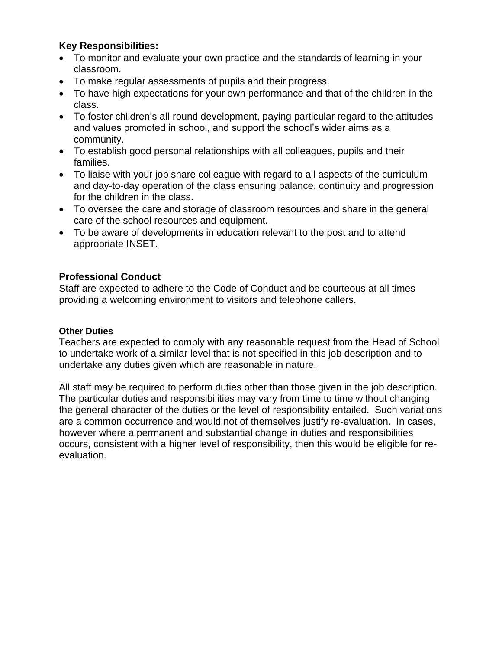### **Key Responsibilities:**

- To monitor and evaluate your own practice and the standards of learning in your classroom.
- To make regular assessments of pupils and their progress.
- To have high expectations for your own performance and that of the children in the class.
- To foster children's all-round development, paying particular regard to the attitudes and values promoted in school, and support the school's wider aims as a community.
- To establish good personal relationships with all colleagues, pupils and their families.
- To liaise with your job share colleague with regard to all aspects of the curriculum and day-to-day operation of the class ensuring balance, continuity and progression for the children in the class.
- To oversee the care and storage of classroom resources and share in the general care of the school resources and equipment.
- To be aware of developments in education relevant to the post and to attend appropriate INSET.

### **Professional Conduct**

Staff are expected to adhere to the Code of Conduct and be courteous at all times providing a welcoming environment to visitors and telephone callers.

#### **Other Duties**

Teachers are expected to comply with any reasonable request from the Head of School to undertake work of a similar level that is not specified in this job description and to undertake any duties given which are reasonable in nature.

All staff may be required to perform duties other than those given in the job description. The particular duties and responsibilities may vary from time to time without changing the general character of the duties or the level of responsibility entailed. Such variations are a common occurrence and would not of themselves justify re-evaluation. In cases, however where a permanent and substantial change in duties and responsibilities occurs, consistent with a higher level of responsibility, then this would be eligible for reevaluation.